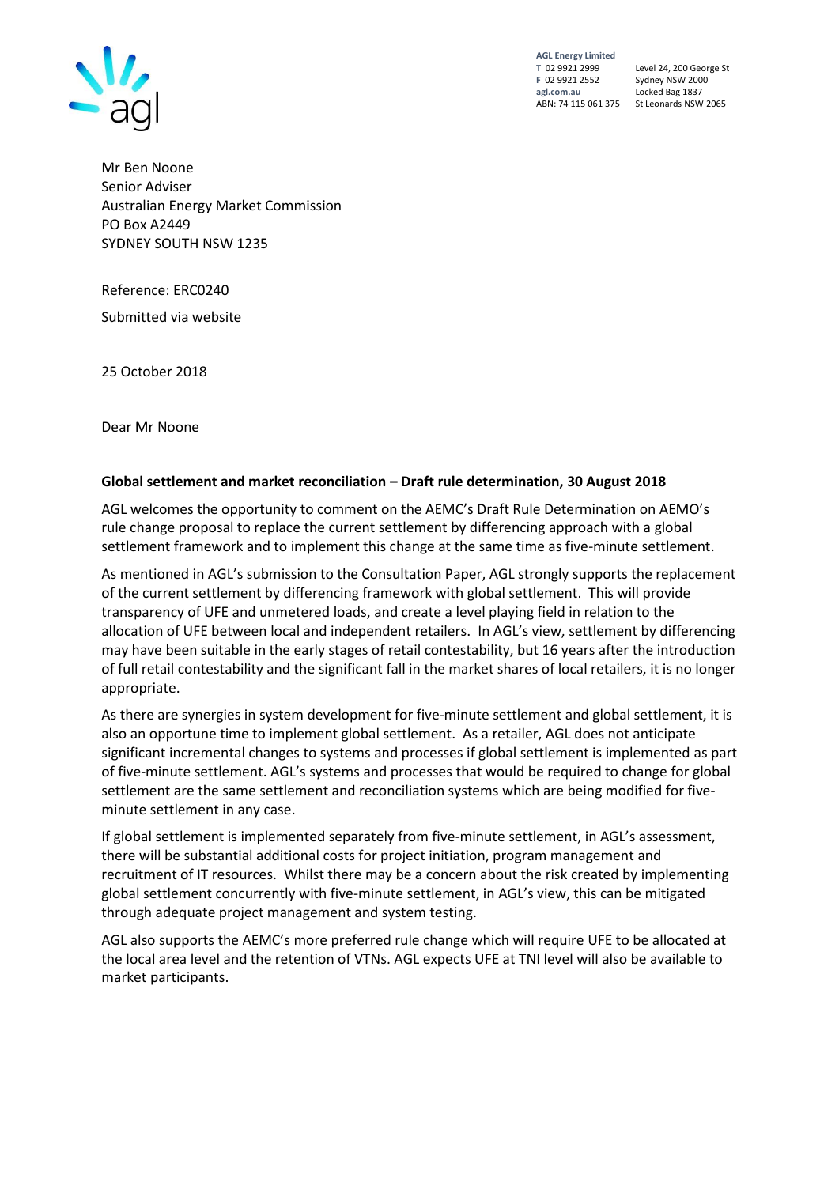

**AGL Energy Limited F** 02 9921 2552 Sydney NSW 2000 **agl.com.au** Locked Bag 1837

**T** 02 9921 2999 Level 24, 200 George St ABN: 74 115 061 375 St Leonards NSW 2065

Mr Ben Noone Senior Adviser Australian Energy Market Commission PO Box A2449 SYDNEY SOUTH NSW 1235

Reference: ERC0240

Submitted via website

25 October 2018

Dear Mr Noone

#### **Global settlement and market reconciliation – Draft rule determination, 30 August 2018**

AGL welcomes the opportunity to comment on the AEMC's Draft Rule Determination on AEMO's rule change proposal to replace the current settlement by differencing approach with a global settlement framework and to implement this change at the same time as five-minute settlement.

As mentioned in AGL's submission to the Consultation Paper, AGL strongly supports the replacement of the current settlement by differencing framework with global settlement. This will provide transparency of UFE and unmetered loads, and create a level playing field in relation to the allocation of UFE between local and independent retailers. In AGL's view, settlement by differencing may have been suitable in the early stages of retail contestability, but 16 years after the introduction of full retail contestability and the significant fall in the market shares of local retailers, it is no longer appropriate.

As there are synergies in system development for five-minute settlement and global settlement, it is also an opportune time to implement global settlement. As a retailer, AGL does not anticipate significant incremental changes to systems and processes if global settlement is implemented as part of five-minute settlement. AGL's systems and processes that would be required to change for global settlement are the same settlement and reconciliation systems which are being modified for fiveminute settlement in any case.

If global settlement is implemented separately from five-minute settlement, in AGL's assessment, there will be substantial additional costs for project initiation, program management and recruitment of IT resources. Whilst there may be a concern about the risk created by implementing global settlement concurrently with five-minute settlement, in AGL's view, this can be mitigated through adequate project management and system testing.

AGL also supports the AEMC's more preferred rule change which will require UFE to be allocated at the local area level and the retention of VTNs. AGL expects UFE at TNI level will also be available to market participants.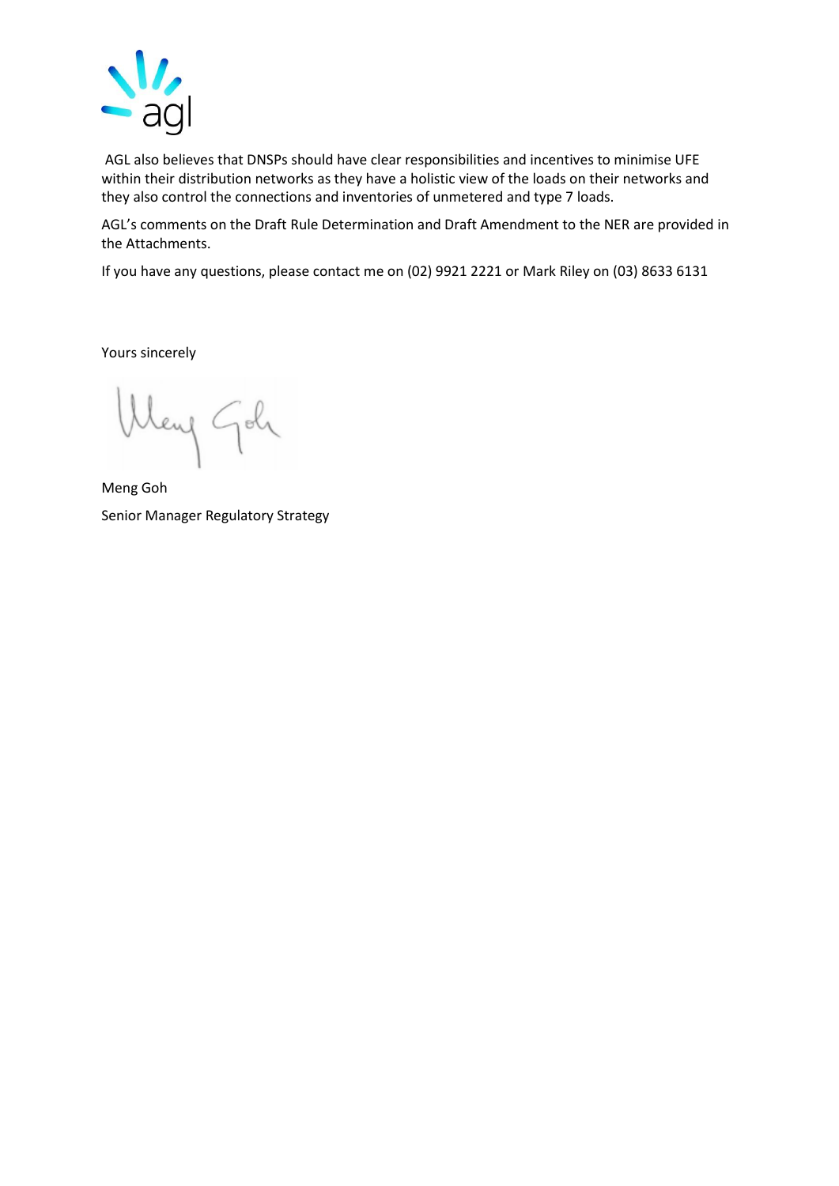

AGL also believes that DNSPs should have clear responsibilities and incentives to minimise UFE within their distribution networks as they have a holistic view of the loads on their networks and they also control the connections and inventories of unmetered and type 7 loads.

AGL's comments on the Draft Rule Determination and Draft Amendment to the NER are provided in the Attachments.

If you have any questions, please contact me on (02) 9921 2221 or Mark Riley on (03) 8633 6131

Yours sincerely

leng Goli

Meng Goh Senior Manager Regulatory Strategy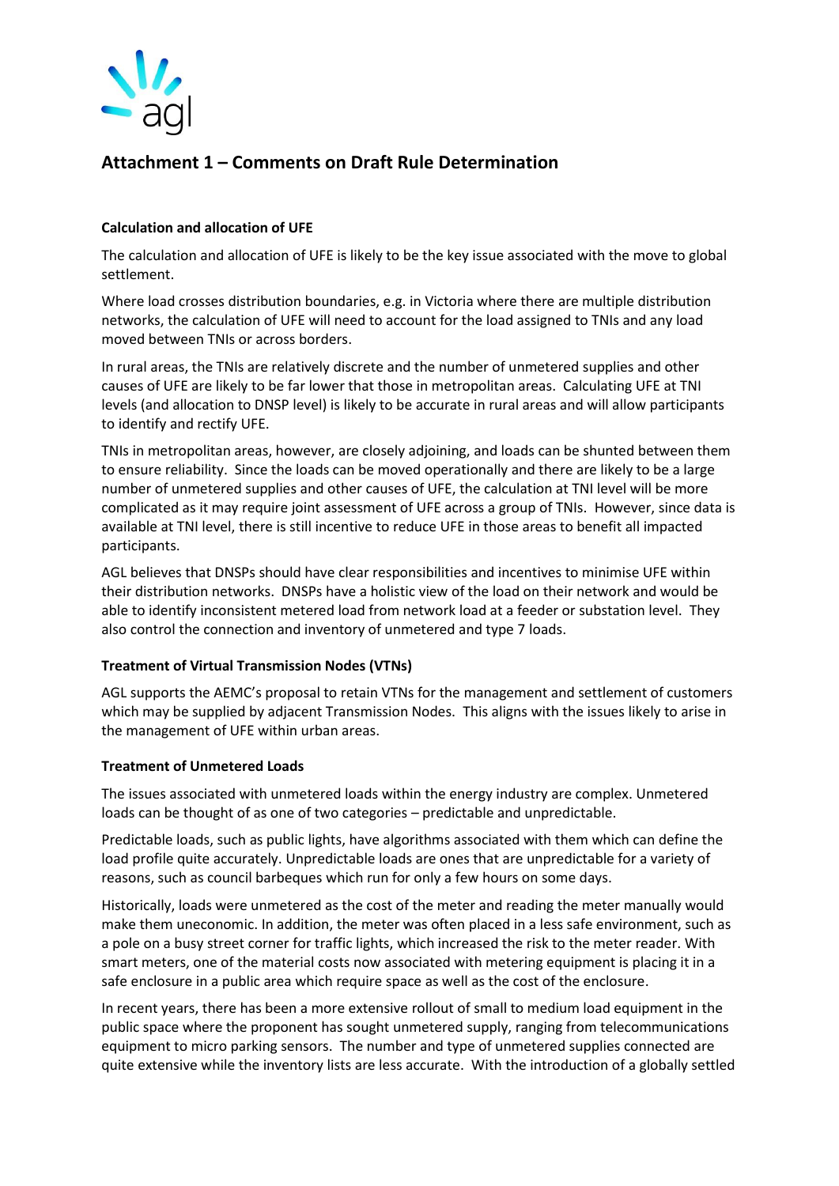

# **Attachment 1 – Comments on Draft Rule Determination**

## **Calculation and allocation of UFE**

The calculation and allocation of UFE is likely to be the key issue associated with the move to global settlement.

Where load crosses distribution boundaries, e.g. in Victoria where there are multiple distribution networks, the calculation of UFE will need to account for the load assigned to TNIs and any load moved between TNIs or across borders.

In rural areas, the TNIs are relatively discrete and the number of unmetered supplies and other causes of UFE are likely to be far lower that those in metropolitan areas. Calculating UFE at TNI levels (and allocation to DNSP level) is likely to be accurate in rural areas and will allow participants to identify and rectify UFE.

TNIs in metropolitan areas, however, are closely adjoining, and loads can be shunted between them to ensure reliability. Since the loads can be moved operationally and there are likely to be a large number of unmetered supplies and other causes of UFE, the calculation at TNI level will be more complicated as it may require joint assessment of UFE across a group of TNIs. However, since data is available at TNI level, there is still incentive to reduce UFE in those areas to benefit all impacted participants.

AGL believes that DNSPs should have clear responsibilities and incentives to minimise UFE within their distribution networks. DNSPs have a holistic view of the load on their network and would be able to identify inconsistent metered load from network load at a feeder or substation level. They also control the connection and inventory of unmetered and type 7 loads.

### **Treatment of Virtual Transmission Nodes (VTNs)**

AGL supports the AEMC's proposal to retain VTNs for the management and settlement of customers which may be supplied by adjacent Transmission Nodes. This aligns with the issues likely to arise in the management of UFE within urban areas.

### **Treatment of Unmetered Loads**

The issues associated with unmetered loads within the energy industry are complex. Unmetered loads can be thought of as one of two categories – predictable and unpredictable.

Predictable loads, such as public lights, have algorithms associated with them which can define the load profile quite accurately. Unpredictable loads are ones that are unpredictable for a variety of reasons, such as council barbeques which run for only a few hours on some days.

Historically, loads were unmetered as the cost of the meter and reading the meter manually would make them uneconomic. In addition, the meter was often placed in a less safe environment, such as a pole on a busy street corner for traffic lights, which increased the risk to the meter reader. With smart meters, one of the material costs now associated with metering equipment is placing it in a safe enclosure in a public area which require space as well as the cost of the enclosure.

In recent years, there has been a more extensive rollout of small to medium load equipment in the public space where the proponent has sought unmetered supply, ranging from telecommunications equipment to micro parking sensors. The number and type of unmetered supplies connected are quite extensive while the inventory lists are less accurate. With the introduction of a globally settled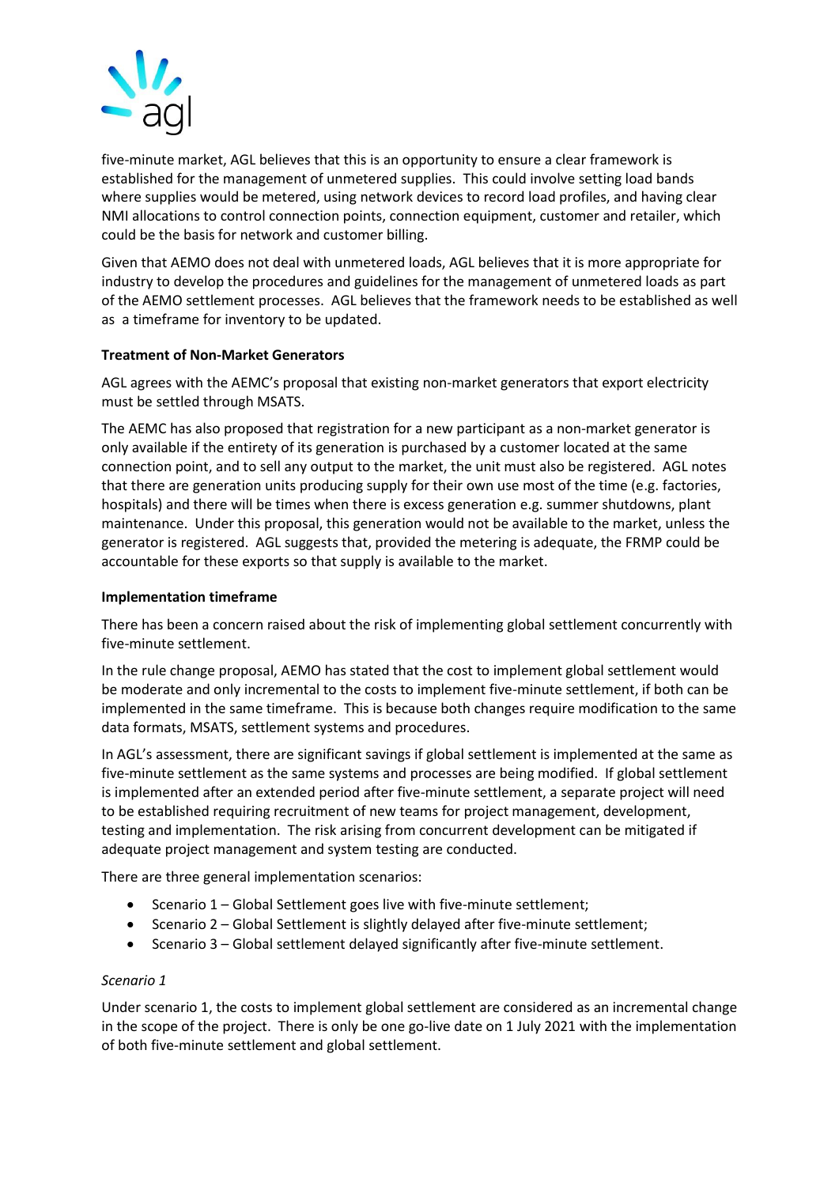

five-minute market, AGL believes that this is an opportunity to ensure a clear framework is established for the management of unmetered supplies. This could involve setting load bands where supplies would be metered, using network devices to record load profiles, and having clear NMI allocations to control connection points, connection equipment, customer and retailer, which could be the basis for network and customer billing.

Given that AEMO does not deal with unmetered loads, AGL believes that it is more appropriate for industry to develop the procedures and guidelines for the management of unmetered loads as part of the AEMO settlement processes. AGL believes that the framework needs to be established as well as a timeframe for inventory to be updated.

## **Treatment of Non-Market Generators**

AGL agrees with the AEMC's proposal that existing non-market generators that export electricity must be settled through MSATS.

The AEMC has also proposed that registration for a new participant as a non-market generator is only available if the entirety of its generation is purchased by a customer located at the same connection point, and to sell any output to the market, the unit must also be registered. AGL notes that there are generation units producing supply for their own use most of the time (e.g. factories, hospitals) and there will be times when there is excess generation e.g. summer shutdowns, plant maintenance. Under this proposal, this generation would not be available to the market, unless the generator is registered. AGL suggests that, provided the metering is adequate, the FRMP could be accountable for these exports so that supply is available to the market.

### **Implementation timeframe**

There has been a concern raised about the risk of implementing global settlement concurrently with five-minute settlement.

In the rule change proposal, AEMO has stated that the cost to implement global settlement would be moderate and only incremental to the costs to implement five-minute settlement, if both can be implemented in the same timeframe. This is because both changes require modification to the same data formats, MSATS, settlement systems and procedures.

In AGL's assessment, there are significant savings if global settlement is implemented at the same as five-minute settlement as the same systems and processes are being modified. If global settlement is implemented after an extended period after five-minute settlement, a separate project will need to be established requiring recruitment of new teams for project management, development, testing and implementation. The risk arising from concurrent development can be mitigated if adequate project management and system testing are conducted.

There are three general implementation scenarios:

- Scenario 1 Global Settlement goes live with five-minute settlement;
- Scenario 2 Global Settlement is slightly delayed after five-minute settlement;
- Scenario 3 Global settlement delayed significantly after five-minute settlement.

### *Scenario 1*

Under scenario 1, the costs to implement global settlement are considered as an incremental change in the scope of the project. There is only be one go-live date on 1 July 2021 with the implementation of both five-minute settlement and global settlement.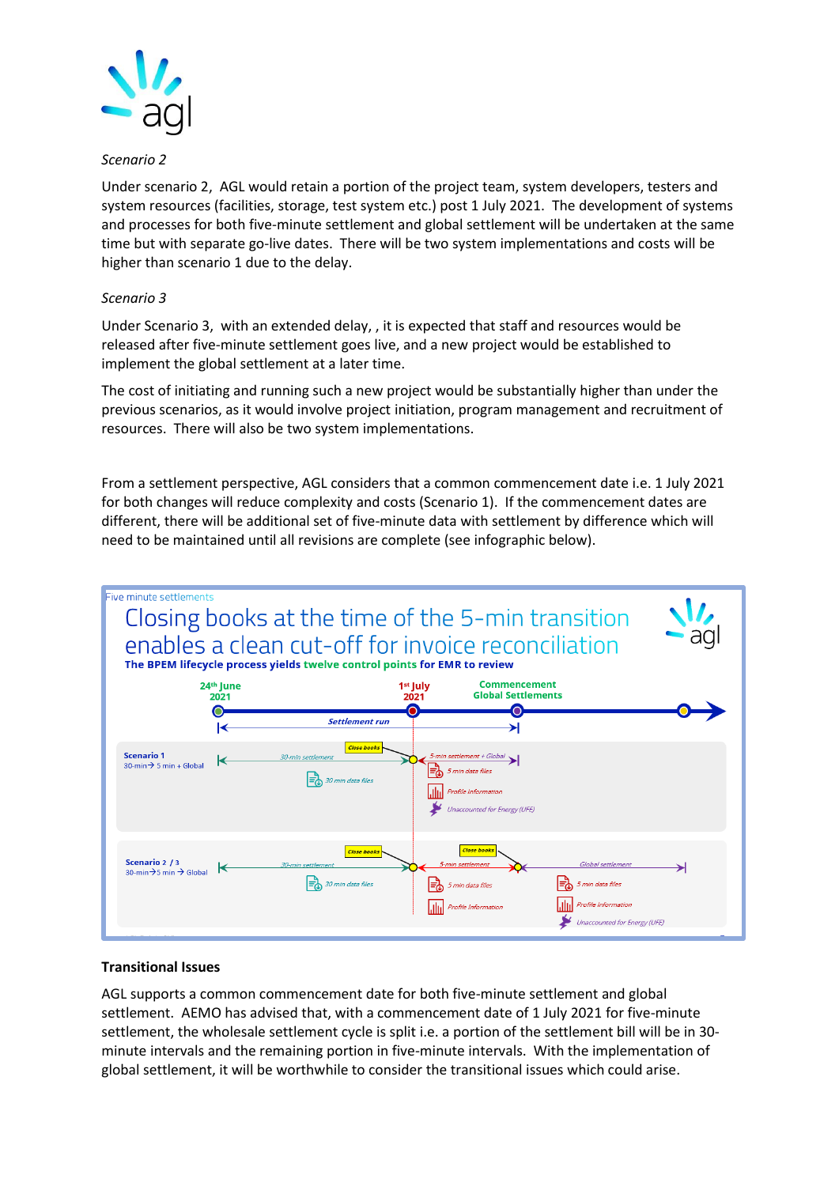

## *Scenario 2*

Under scenario 2, AGL would retain a portion of the project team, system developers, testers and system resources (facilities, storage, test system etc.) post 1 July 2021. The development of systems and processes for both five-minute settlement and global settlement will be undertaken at the same time but with separate go-live dates. There will be two system implementations and costs will be higher than scenario 1 due to the delay.

## *Scenario 3*

Under Scenario 3, with an extended delay, , it is expected that staff and resources would be released after five-minute settlement goes live, and a new project would be established to implement the global settlement at a later time.

The cost of initiating and running such a new project would be substantially higher than under the previous scenarios, as it would involve project initiation, program management and recruitment of resources. There will also be two system implementations.

From a settlement perspective, AGL considers that a common commencement date i.e. 1 July 2021 for both changes will reduce complexity and costs (Scenario 1). If the commencement dates are different, there will be additional set of five-minute data with settlement by difference which will need to be maintained until all revisions are complete (see infographic below).



### **Transitional Issues**

AGL supports a common commencement date for both five-minute settlement and global settlement. AEMO has advised that, with a commencement date of 1 July 2021 for five-minute settlement, the wholesale settlement cycle is split i.e. a portion of the settlement bill will be in 30 minute intervals and the remaining portion in five-minute intervals. With the implementation of global settlement, it will be worthwhile to consider the transitional issues which could arise.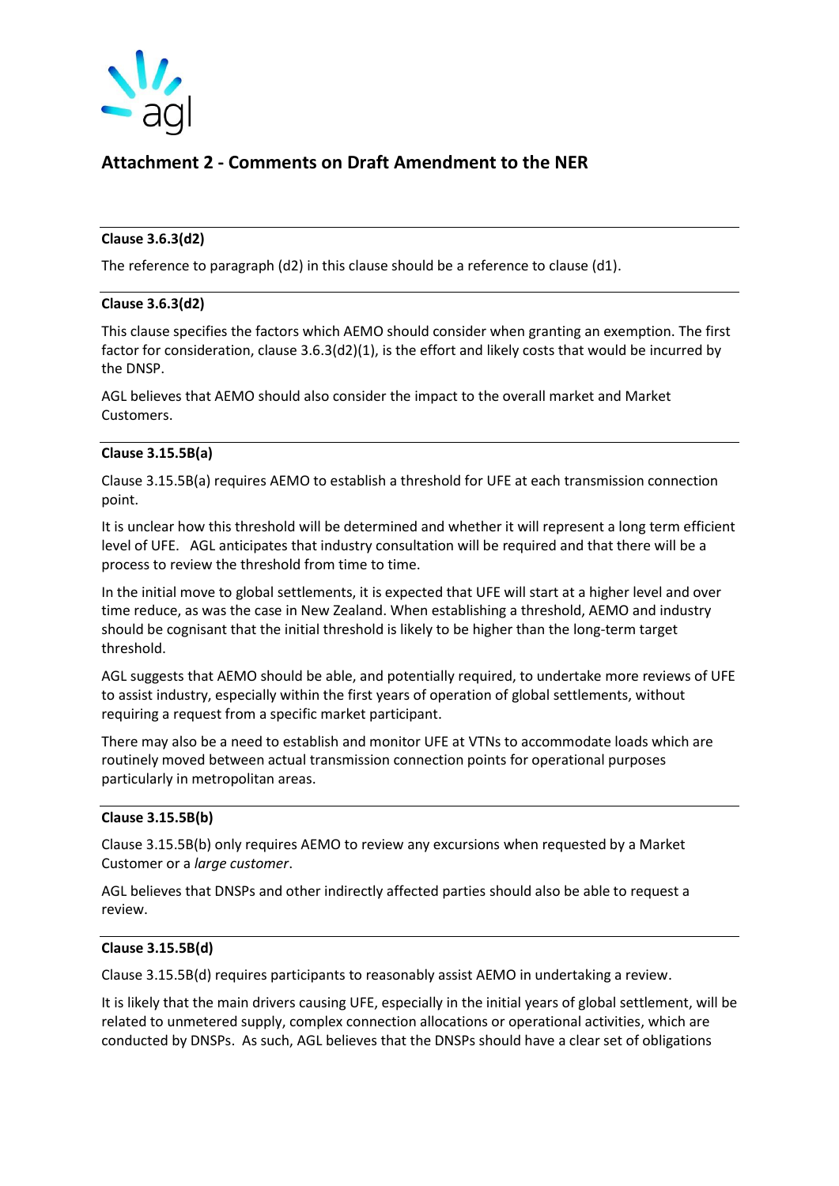

## **Attachment 2 - Comments on Draft Amendment to the NER**

## **Clause 3.6.3(d2)**

The reference to paragraph (d2) in this clause should be a reference to clause (d1).

### **Clause 3.6.3(d2)**

This clause specifies the factors which AEMO should consider when granting an exemption. The first factor for consideration, clause 3.6.3(d2)(1), is the effort and likely costs that would be incurred by the DNSP.

AGL believes that AEMO should also consider the impact to the overall market and Market Customers.

## **Clause 3.15.5B(a)**

Clause 3.15.5B(a) requires AEMO to establish a threshold for UFE at each transmission connection point.

It is unclear how this threshold will be determined and whether it will represent a long term efficient level of UFE. AGL anticipates that industry consultation will be required and that there will be a process to review the threshold from time to time.

In the initial move to global settlements, it is expected that UFE will start at a higher level and over time reduce, as was the case in New Zealand. When establishing a threshold, AEMO and industry should be cognisant that the initial threshold is likely to be higher than the long-term target threshold.

AGL suggests that AEMO should be able, and potentially required, to undertake more reviews of UFE to assist industry, especially within the first years of operation of global settlements, without requiring a request from a specific market participant.

There may also be a need to establish and monitor UFE at VTNs to accommodate loads which are routinely moved between actual transmission connection points for operational purposes particularly in metropolitan areas.

### **Clause 3.15.5B(b)**

Clause 3.15.5B(b) only requires AEMO to review any excursions when requested by a Market Customer or a *large customer*.

AGL believes that DNSPs and other indirectly affected parties should also be able to request a review.

## **Clause 3.15.5B(d)**

Clause 3.15.5B(d) requires participants to reasonably assist AEMO in undertaking a review.

It is likely that the main drivers causing UFE, especially in the initial years of global settlement, will be related to unmetered supply, complex connection allocations or operational activities, which are conducted by DNSPs. As such, AGL believes that the DNSPs should have a clear set of obligations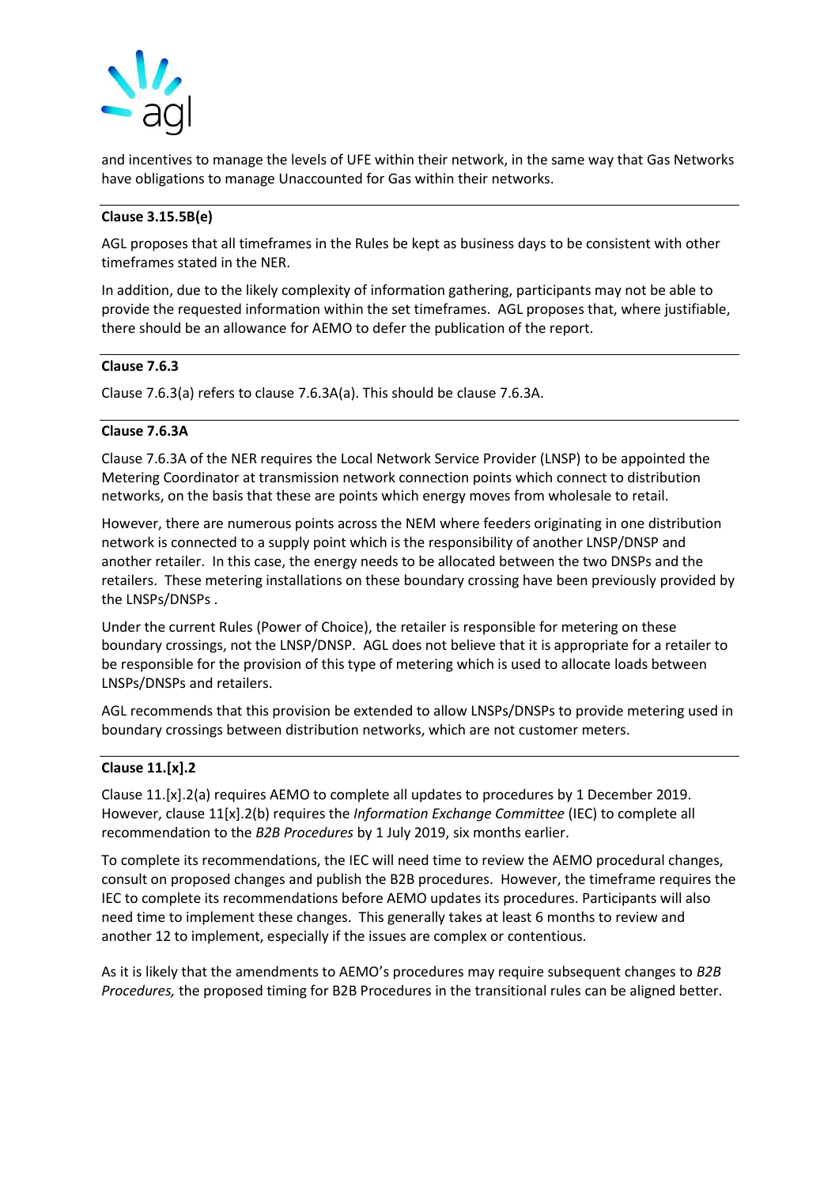

and incentives to manage the levels of UFE within their network, in the same way that Gas Networks have obligations to manage Unaccounted for Gas within their networks.

## **Clause 3.15.5B(e)**

AGL proposes that all timeframes in the Rules be kept as business days to be consistent with other timeframes stated in the NER.

In addition, due to the likely complexity of information gathering, participants may not be able to provide the requested information within the set timeframes. AGL proposes that, where justifiable, there should be an allowance for AEMO to defer the publication of the report.

### **Clause 7.6.3**

Clause 7.6.3(a) refers to clause 7.6.3A(a). This should be clause 7.6.3A.

## **Clause 7.6.3A**

Clause 7.6.3A of the NER requires the Local Network Service Provider (LNSP) to be appointed the Metering Coordinator at transmission network connection points which connect to distribution networks, on the basis that these are points which energy moves from wholesale to retail.

However, there are numerous points across the NEM where feeders originating in one distribution network is connected to a supply point which is the responsibility of another LNSP/DNSP and another retailer. In this case, the energy needs to be allocated between the two DNSPs and the retailers. These metering installations on these boundary crossing have been previously provided by the LNSPs/DNSPs .

Under the current Rules (Power of Choice), the retailer is responsible for metering on these boundary crossings, not the LNSP/DNSP. AGL does not believe that it is appropriate for a retailer to be responsible for the provision of this type of metering which is used to allocate loads between LNSPs/DNSPs and retailers.

AGL recommends that this provision be extended to allow LNSPs/DNSPs to provide metering used in boundary crossings between distribution networks, which are not customer meters.

### **Clause 11.[x].2**

Clause 11.[x].2(a) requires AEMO to complete all updates to procedures by 1 December 2019. However, clause 11[x].2(b) requires the *Information Exchange Committee* (IEC) to complete all recommendation to the *B2B Procedures* by 1 July 2019, six months earlier.

To complete its recommendations, the IEC will need time to review the AEMO procedural changes, consult on proposed changes and publish the B2B procedures. However, the timeframe requires the IEC to complete its recommendations before AEMO updates its procedures. Participants will also need time to implement these changes. This generally takes at least 6 months to review and another 12 to implement, especially if the issues are complex or contentious.

As it is likely that the amendments to AEMO's procedures may require subsequent changes to *B2B Procedures,* the proposed timing for B2B Procedures in the transitional rules can be aligned better.